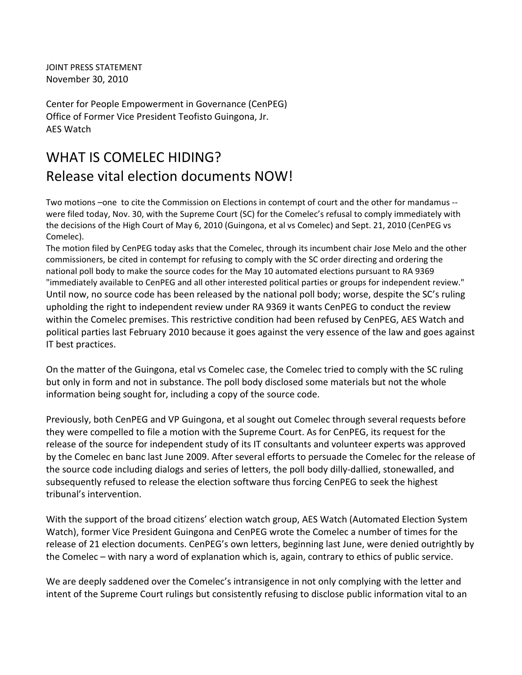JOINT PRESS STATEMENT November 30, 2010

Center for People Empowerment in Governance (CenPEG) Office of Former Vice President Teofisto Guingona, Jr. AES Watch

## WHAT IS COMELEC HIDING? Release vital election documents NOW!

Two motions –one to cite the Commission on Elections in contempt of court and the other for mandamus ‐‐ were filed today, Nov. 30, with the Supreme Court (SC) for the Comelec's refusal to comply immediately with the decisions of the High Court of May 6, 2010 (Guingona, et al vs Comelec) and Sept. 21, 2010 (CenPEG vs Comelec).

The motion filed by CenPEG today asks that the Comelec, through its incumbent chair Jose Melo and the other commissioners, be cited in contempt for refusing to comply with the SC order directing and ordering the national poll body to make the source codes for the May 10 automated elections pursuant to RA 9369 "immediately available to CenPEG and all other interested political parties or groups for independent review." Until now, no source code has been released by the national poll body; worse, despite the SC's ruling upholding the right to independent review under RA 9369 it wants CenPEG to conduct the review within the Comelec premises. This restrictive condition had been refused by CenPEG, AES Watch and political parties last February 2010 because it goes against the very essence of the law and goes against IT best practices.

On the matter of the Guingona, etal vs Comelec case, the Comelec tried to comply with the SC ruling but only in form and not in substance. The poll body disclosed some materials but not the whole information being sought for, including a copy of the source code.

Previously, both CenPEG and VP Guingona, et al sought out Comelec through several requests before they were compelled to file a motion with the Supreme Court. As for CenPEG, its request for the release of the source for independent study of its IT consultants and volunteer experts was approved by the Comelec en banc last June 2009. After several efforts to persuade the Comelec for the release of the source code including dialogs and series of letters, the poll body dilly‐dallied, stonewalled, and subsequently refused to release the election software thus forcing CenPEG to seek the highest tribunal's intervention.

With the support of the broad citizens' election watch group, AES Watch (Automated Election System Watch), former Vice President Guingona and CenPEG wrote the Comelec a number of times for the release of 21 election documents. CenPEG's own letters, beginning last June, were denied outrightly by the Comelec – with nary a word of explanation which is, again, contrary to ethics of public service.

We are deeply saddened over the Comelec's intransigence in not only complying with the letter and intent of the Supreme Court rulings but consistently refusing to disclose public information vital to an